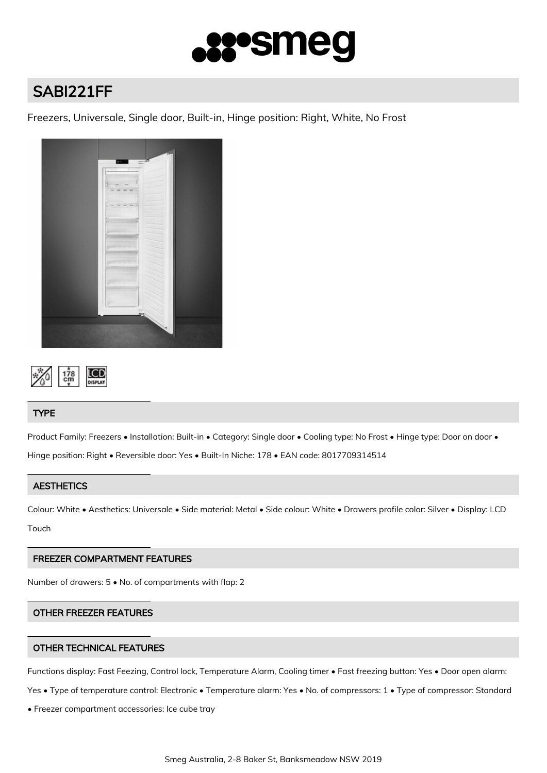

# SABI221FF

Freezers, Universale, Single door, Built-in, Hinge position: Right, White, No Frost





# **TYPE**

Product Family: Freezers • Installation: Built-in • Category: Single door • Cooling type: No Frost • Hinge type: Door on door • Hinge position: Right • Reversible door: Yes • Built-In Niche: 178 • EAN code: 8017709314514

## **AESTHETICS**

Colour: White • Aesthetics: Universale • Side material: Metal • Side colour: White • Drawers profile color: Silver • Display: LCD Touch

## FREEZER COMPARTMENT FEATURES

Number of drawers: 5 • No. of compartments with flap: 2

# OTHER FREEZER FEATURES

## OTHER TECHNICAL FEATURES

Functions display: Fast Feezing, Control lock, Temperature Alarm, Cooling timer • Fast freezing button: Yes • Door open alarm:

Yes • Type of temperature control: Electronic • Temperature alarm: Yes • No. of compressors: 1 • Type of compressor: Standard

• Freezer compartment accessories: Ice cube tray